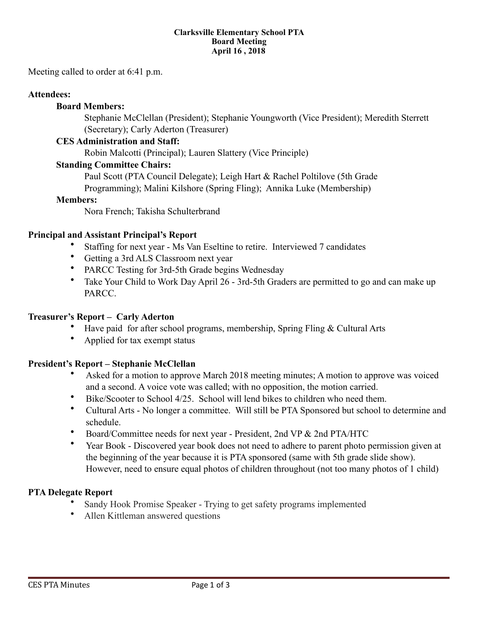#### **Clarksville Elementary School PTA Board Meeting April 16 , 2018**

Meeting called to order at 6:41 p.m.

#### **Attendees:**

#### **Board Members:**

 Stephanie McClellan (President); Stephanie Youngworth (Vice President); Meredith Sterrett (Secretary); Carly Aderton (Treasurer)

#### **CES Administration and Staff:**

Robin Malcotti (Principal); Lauren Slattery (Vice Principle)

#### **Standing Committee Chairs:**

Paul Scott (PTA Council Delegate); Leigh Hart & Rachel Poltilove (5th Grade Programming); Malini Kilshore (Spring Fling); Annika Luke (Membership)

#### **Members:**

Nora French; Takisha Schulterbrand

#### **Principal and Assistant Principal's Report**

- Staffing for next year Ms Van Eseltine to retire. Interviewed 7 candidates
- Getting a 3rd ALS Classroom next year
- PARCC Testing for 3rd-5th Grade begins Wednesday
- Take Your Child to Work Day April 26 3rd-5th Graders are permitted to go and can make up PARCC.

#### **Treasurer's Report – Carly Aderton**

- Have paid for after school programs, membership, Spring Fling & Cultural Arts
- Applied for tax exempt status

#### **President's Report – Stephanie McClellan**

- Asked for a motion to approve March 2018 meeting minutes; A motion to approve was voiced and a second. A voice vote was called; with no opposition, the motion carried.
- Bike/Scooter to School 4/25. School will lend bikes to children who need them.
- Cultural Arts No longer a committee. Will still be PTA Sponsored but school to determine and schedule.
- Board/Committee needs for next year President, 2nd VP & 2nd PTA/HTC
- Year Book Discovered year book does not need to adhere to parent photo permission given at the beginning of the year because it is PTA sponsored (same with 5th grade slide show). However, need to ensure equal photos of children throughout (not too many photos of 1 child)

#### **PTA Delegate Report**

- Sandy Hook Promise Speaker Trying to get safety programs implemented
- Allen Kittleman answered questions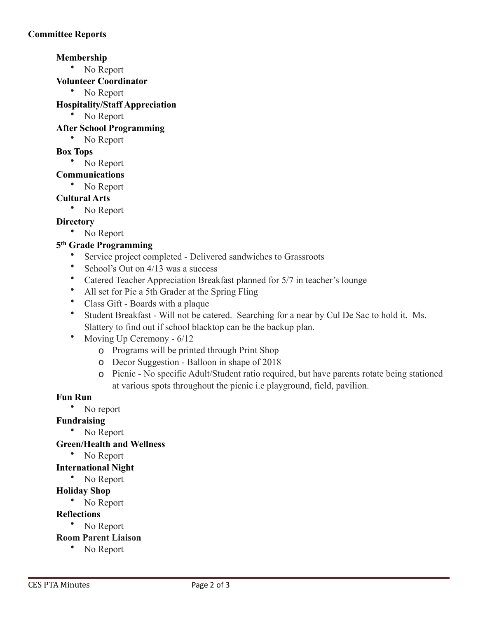# **Membership**

• No Report

**Volunteer Coordinator** 

• No Report

# **Hospitality/Staff Appreciation**

• No Report

### **After School Programming**

• No Report

### **Box Tops**

• No Report

### **Communications**

• No Report

### **Cultural Arts**

• No Report

### **Directory**

• No Report

# **5th Grade Programming**

- Service project completed Delivered sandwiches to Grassroots
- School's Out on  $4/13$  was a success
- Catered Teacher Appreciation Breakfast planned for 5/7 in teacher's lounge
- All set for Pie a 5th Grader at the Spring Fling
- Class Gift Boards with a plaque
- Student Breakfast Will not be catered. Searching for a near by Cul De Sac to hold it. Ms. Slattery to find out if school blacktop can be the backup plan.
- Moving Up Ceremony 6/12
	- o Programs will be printed through Print Shop
	- o Decor Suggestion Balloon in shape of 2018
	- o Picnic No specific Adult/Student ratio required, but have parents rotate being stationed at various spots throughout the picnic i.e playground, field, pavilion.

### **Fun Run**

• No report

### **Fundraising**

• No Report

### **Green/Health and Wellness**

• No Report

### **International Night**

• No Report

### **Holiday Shop**

• No Report

### **Reflections**

# • No Report

- **Room Parent Liaison** 
	- No Report